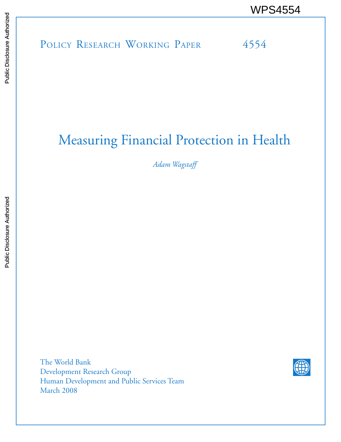# POLICY RESEARCH WORKING PAPER 4554 WPS4554<br>
Media<br>
Media<br>
POLICY RESEARCH WORKING PAPER<br>
POLICY RESEARCH WORKING PAPER<br>
POLICY RESEARCH WORKING PAPER<br>
PAPER

# Measuring Financial Protection in Health

*Adam Wagstaff*

The World Bank Development Research Group Human Development and Public Services Team March 2008

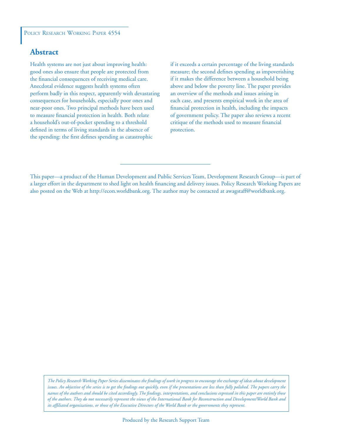### **Abstract**

Health systems are not just about improving health: good ones also ensure that people are protected from the financial consequences of receiving medical care. Anecdotal evidence suggests health systems often perform badly in this respect, apparently with devastating consequences for households, especially poor ones and near-poor ones. Two principal methods have been used to measure financial protection in health. Both relate a household's out-of-pocket spending to a threshold defined in terms of living standards in the absence of the spending: the first defines spending as catastrophic

if it exceeds a certain percentage of the living standards measure; the second defines spending as impoverishing if it makes the difference between a household being above and below the poverty line. The paper provides an overview of the methods and issues arising in each case, and presents empirical work in the area of financial protection in health, including the impacts of government policy. The paper also reviews a recent critique of the methods used to measure financial protection.

*The Policy Research Working Paper Series disseminates the findings of work in progress to encourage the exchange of ideas about development issues. An objective of the series is to get the findings out quickly, even if the presentations are less than fully polished. The papers carry the names of the authors and should be cited accordingly. The findings, interpretations, and conclusions expressed in this paper are entirely those of the authors. They do not necessarily represent the views of the International Bank for Reconstruction and Development/World Bank and its affiliated organizations, or those of the Executive Directors of the World Bank or the governments they represent.*

This paper—a product of the Human Development and Public Services Team, Development Research Group—is part of a larger effort in the department to shed light on health financing and delivery issues. Policy Research Working Papers are also posted on the Web at http://econ.worldbank.org. The author may be contacted at awagstaff@worldbank.org.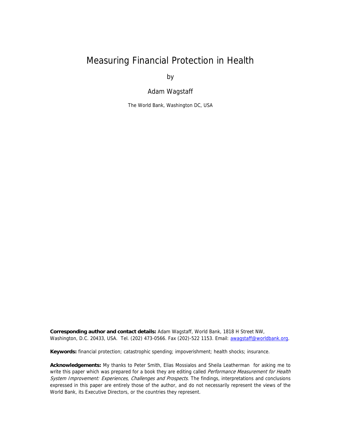## Measuring Financial Protection in Health

by

Adam Wagstaff

The World Bank, Washington DC, USA

**Corresponding author and contact details:** Adam Wagstaff, World Bank, 1818 H Street NW, Washington, D.C. 20433, USA. Tel. (202) 473-0566. Fax (202)-522 1153. Email: [awagstaff@worldbank.org](mailto:awagstaff@worldbank.org).

**Keywords:** financial protection; catastrophic spending; impoverishment; health shocks; insurance.

**Acknowledgements:** My thanks to Peter Smith, Elias Mossialos and Sheila Leatherman for asking me to write this paper which was prepared for a book they are editing called Performance Measurement for Health System Improvement: Experiences, Challenges and Prospects. The findings, interpretations and conclusions expressed in this paper are entirely those of the author, and do not necessarily represent the views of the World Bank, its Executive Directors, or the countries they represent.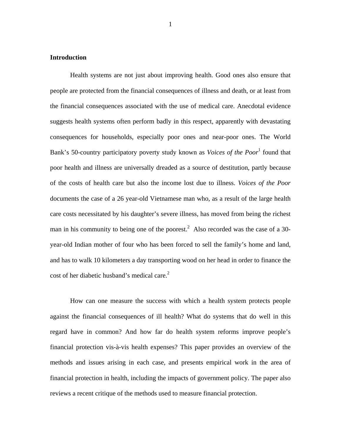#### **Introduction**

Health systems are not just about improving health. Good ones also ensure that people are protected from the financial consequences of illness and death, or at least from the financial consequences associated with the use of medical care. Anecdotal evidence suggests health systems often perform badly in this respect, apparently with devastating consequences for households, especially poor ones and near-poor ones. The World Bank's 50-country participatory poverty study known as *Voices of the Poor*<sup>1</sup> found that poor health and illness are universally dreaded as a source of destitution, partly because of the costs of health care but also the income lost due to illness. *Voices of the Poor* documents the case of a 26 year-old Vietnamese man who, as a result of the large health care costs necessitated by his daughter's severe illness, has moved from being the richest man in his community to being one of the poorest.<sup>2</sup> Also recorded was the case of a 30year-old Indian mother of four who has been forced to sell the family's home and land, and has to walk 10 kilometers a day transporting wood on her head in order to finance the cost of her diabetic husband's medical care. $2$ 

How can one measure the success with which a health system protects people against the financial consequences of ill health? What do systems that do well in this regard have in common? And how far do health system reforms improve people's financial protection vis-à-vis health expenses? This paper provides an overview of the methods and issues arising in each case, and presents empirical work in the area of financial protection in health, including the impacts of government policy. The paper also reviews a recent critique of the methods used to measure financial protection.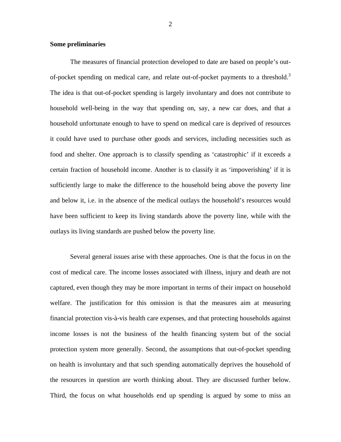#### **Some preliminaries**

The measures of financial protection developed to date are based on people's outof-pocket spending on medical care, and relate out-of-pocket payments to a threshold.<sup>3</sup> The idea is that out-of-pocket spending is largely involuntary and does not contribute to household well-being in the way that spending on, say, a new car does, and that a household unfortunate enough to have to spend on medical care is deprived of resources it could have used to purchase other goods and services, including necessities such as food and shelter. One approach is to classify spending as 'catastrophic' if it exceeds a certain fraction of household income. Another is to classify it as 'impoverishing' if it is sufficiently large to make the difference to the household being above the poverty line and below it, i.e. in the absence of the medical outlays the household's resources would have been sufficient to keep its living standards above the poverty line, while with the outlays its living standards are pushed below the poverty line.

Several general issues arise with these approaches. One is that the focus in on the cost of medical care. The income losses associated with illness, injury and death are not captured, even though they may be more important in terms of their impact on household welfare. The justification for this omission is that the measures aim at measuring financial protection vis-à-vis health care expenses, and that protecting households against income losses is not the business of the health financing system but of the social protection system more generally. Second, the assumptions that out-of-pocket spending on health is involuntary and that such spending automatically deprives the household of the resources in question are worth thinking about. They are discussed further below. Third, the focus on what households end up spending is argued by some to miss an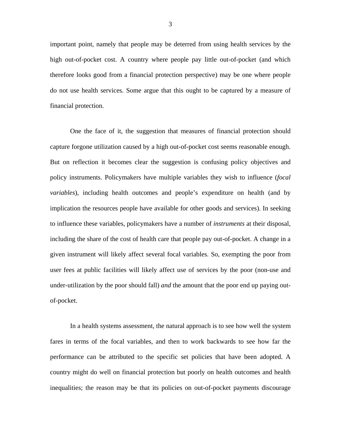important point, namely that people may be deterred from using health services by the high out-of-pocket cost. A country where people pay little out-of-pocket (and which therefore looks good from a financial protection perspective) may be one where people do not use health services. Some argue that this ought to be captured by a measure of financial protection.

One the face of it, the suggestion that measures of financial protection should capture forgone utilization caused by a high out-of-pocket cost seems reasonable enough. But on reflection it becomes clear the suggestion is confusing policy objectives and policy instruments. Policymakers have multiple variables they wish to influence (*focal variables*), including health outcomes and people's expenditure on health (and by implication the resources people have available for other goods and services). In seeking to influence these variables, policymakers have a number of *instruments* at their disposal, including the share of the cost of health care that people pay out-of-pocket. A change in a given instrument will likely affect several focal variables. So, exempting the poor from user fees at public facilities will likely affect use of services by the poor (non-use and under-utilization by the poor should fall) *and* the amount that the poor end up paying outof-pocket.

In a health systems assessment, the natural approach is to see how well the system fares in terms of the focal variables, and then to work backwards to see how far the performance can be attributed to the specific set policies that have been adopted. A country might do well on financial protection but poorly on health outcomes and health inequalities; the reason may be that its policies on out-of-pocket payments discourage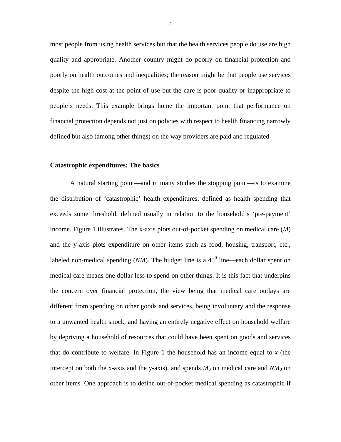most people from using health services but that the health services people do use are high quality and appropriate. Another country might do poorly on financial protection and poorly on health outcomes and inequalities; the reason might be that people use services despite the high cost at the point of use but the care is poor quality or inappropriate to people's needs. This example brings home the important point that performance on financial protection depends not just on policies with respect to health financing narrowly defined but also (among other things) on the way providers are paid and regulated.

#### **Catastrophic expenditures: The basics**

A natural starting point—and in many studies the stopping point—is to examine the distribution of 'catastrophic' health expenditures, defined as health spending that exceeds some threshold, defined usually in relation to the household's 'pre-payment' income. [Figure 1](#page-8-0) illustrates. The x-axis plots out-of-pocket spending on medical care (*M*) and the y-axis plots expenditure on other items such as food, housing, transport, etc., labeled non-medical spending  $(NM)$ . The budget line is a 45<sup>0</sup> line—each dollar spent on medical care means one dollar less to spend on other things. It is this fact that underpins the concern over financial protection, the view being that medical care outlays are different from spending on other goods and services, being involuntary and the response to a unwanted health shock, and having an entirely negative effect on household welfare by depriving a household of resources that could have been spent on goods and services that do contribute to welfare. In [Figure 1](#page-8-0) the household has an income equal to *x* (the intercept on both the x-axis and the y-axis), and spends  $M_0$  on medical care and  $NM_0$  on other items. One approach is to define out-of-pocket medical spending as catastrophic if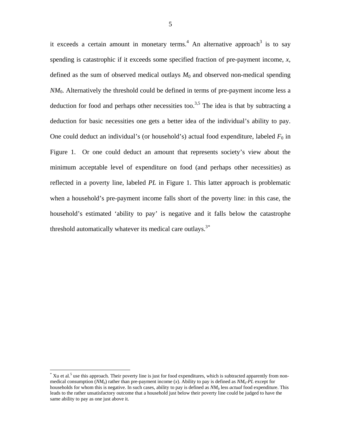it exceeds a certain amount in monetary terms.<sup>4</sup> An alternative approach<sup>3</sup> is to say spending is catastrophic if it exceeds some specified fraction of pre-payment income, *x*, defined as the sum of observed medical outlays  $M_0$  and observed non-medical spending *NM*<sub>0</sub>. Alternatively the threshold could be defined in terms of pre-payment income less a deduction for food and perhaps other necessities too.<sup>3,5</sup> The idea is that by subtracting a deduction for basic necessities one gets a better idea of the individual's ability to pay. One could deduct an individual's (or household's) actual food expenditure, labeled  $F_0$  in [Figure 1](#page-8-0). Or one could deduct an amount that represents society's view about the minimum acceptable level of expenditure on food (and perhaps other necessities) as reflected in a poverty line, labeled *PL* in [Figure 1.](#page-8-0) This latter approach is problematic when a household's pre-payment income falls short of the poverty line: in this case, the household's estimated 'ability to pay' is negative and it falls below the catastrophe threshold automatically whatever its medical care outlays.<sup>3[\\*](#page-7-0)</sup>

 $\overline{a}$ 

<span id="page-7-0"></span> $*$  Xu et al.<sup>5</sup> use this approach. Their poverty line is just for food expenditures, which is subtracted apparently from nonmedical consumption (*NM*0) rather than pre-payment income (*x*). Ability to pay is defined as *NM*0-*PL* except for households for whom this is negative. In such cases, ability to pay is defined as *NM*0 less *actual* food expenditure. This leads to the rather unsatisfactory outcome that a household just below their poverty line could be judged to have the same ability to pay as one just above it.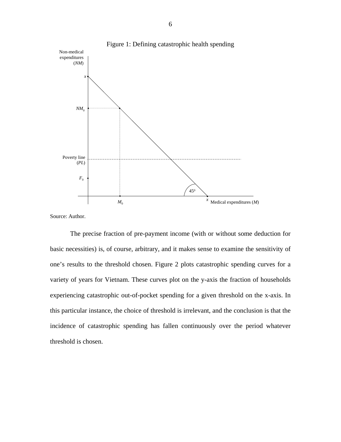<span id="page-8-0"></span>

Source: Author.

The precise fraction of pre-payment income (with or without some deduction for basic necessities) is, of course, arbitrary, and it makes sense to examine the sensitivity of one's results to the threshold chosen. [Figure 2](#page-9-0) plots catastrophic spending curves for a variety of years for Vietnam. These curves plot on the y-axis the fraction of households experiencing catastrophic out-of-pocket spending for a given threshold on the x-axis. In this particular instance, the choice of threshold is irrelevant, and the conclusion is that the incidence of catastrophic spending has fallen continuously over the period whatever threshold is chosen.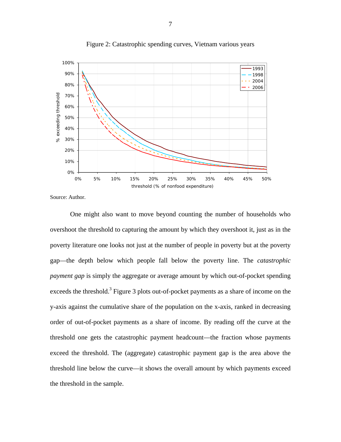<span id="page-9-0"></span>

Figure 2: Catastrophic spending curves, Vietnam various years

Source: Author.

One might also want to move beyond counting the number of households who overshoot the threshold to capturing the amount by which they overshoot it, just as in the poverty literature one looks not just at the number of people in poverty but at the poverty gap—the depth below which people fall below the poverty line. The *catastrophic payment gap* is simply the aggregate or average amount by which out-of-pocket spending exceeds the threshold.<sup>3</sup> [Figure 3](#page-10-0) plots out-of-pocket payments as a share of income on the y-axis against the cumulative share of the population on the x-axis, ranked in decreasing order of out-of-pocket payments as a share of income. By reading off the curve at the threshold one gets the catastrophic payment headcount—the fraction whose payments exceed the threshold. The (aggregate) catastrophic payment gap is the area above the threshold line below the curve—it shows the overall amount by which payments exceed the threshold in the sample.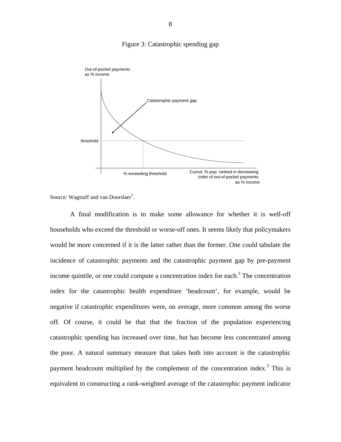

<span id="page-10-0"></span>

Source: Wagstaff and van Doorslaer<sup>3</sup>.

A final modification is to make some allowance for whether it is well-off households who exceed the threshold or worse-off ones. It seems likely that policymakers would be more concerned if it is the latter rather than the former. One could tabulate the incidence of catastrophic payments and the catastrophic payment gap by pre-payment income quintile, or one could compute a concentration index for each.<sup>3</sup> The concentration index for the catastrophic health expenditure 'headcount', for example, would be negative if catastrophic expenditures were, on average, more common among the worse off. Of course, it could be that that the fraction of the population experiencing catastrophic spending has increased over time, but has become less concentrated among the poor. A natural summary measure that takes both into account is the catastrophic payment headcount multiplied by the complement of the concentration index.<sup>3</sup> This is equivalent to constructing a rank-weighted average of the catastrophic payment indicator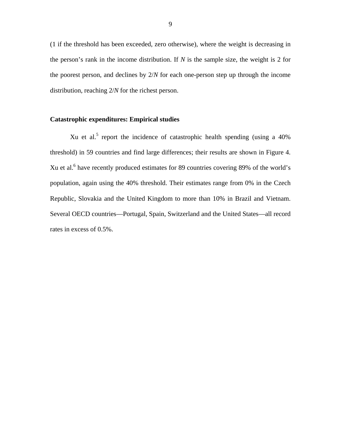(1 if the threshold has been exceeded, zero otherwise), where the weight is decreasing in the person's rank in the income distribution. If *N* is the sample size, the weight is 2 for the poorest person, and declines by 2/*N* for each one-person step up through the income distribution, reaching 2/*N* for the richest person.

#### **Catastrophic expenditures: Empirical studies**

Xu et al.<sup>5</sup> report the incidence of catastrophic health spending (using a  $40\%$ ) threshold) in 59 countries and find large differences; their results are shown in [Figure 4](#page-12-0). Xu et al.<sup>6</sup> have recently produced estimates for 89 countries covering 89% of the world's population, again using the 40% threshold. Their estimates range from 0% in the Czech Republic, Slovakia and the United Kingdom to more than 10% in Brazil and Vietnam. Several OECD countries—Portugal, Spain, Switzerland and the United States—all record rates in excess of 0.5%.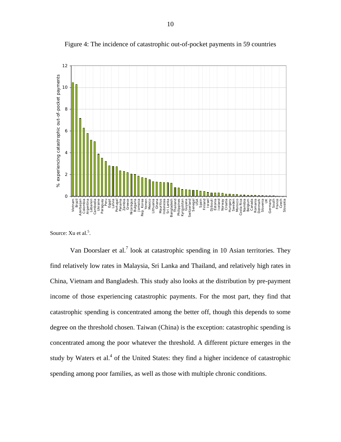<span id="page-12-0"></span>

Figure 4: The incidence of catastrophic out-of-pocket payments in 59 countries

Source: Xu et al.<sup>5</sup>.

Van Doorslaer et al.<sup>7</sup> look at catastrophic spending in 10 Asian territories. They find relatively low rates in Malaysia, Sri Lanka and Thailand, and relatively high rates in China, Vietnam and Bangladesh. This study also looks at the distribution by pre-payment income of those experiencing catastrophic payments. For the most part, they find that catastrophic spending is concentrated among the better off, though this depends to some degree on the threshold chosen. Taiwan (China) is the exception: catastrophic spending is concentrated among the poor whatever the threshold. A different picture emerges in the study by Waters et al.<sup>4</sup> of the United States: they find a higher incidence of catastrophic spending among poor families, as well as those with multiple chronic conditions.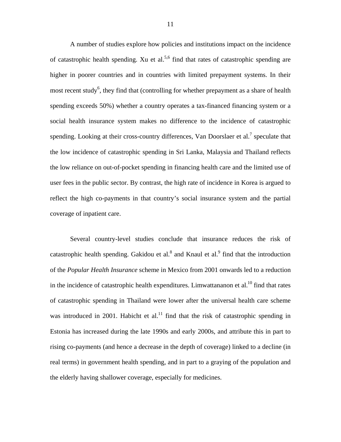A number of studies explore how policies and institutions impact on the incidence of catastrophic health spending. Xu et al.<sup>5,6</sup> find that rates of catastrophic spending are higher in poorer countries and in countries with limited prepayment systems. In their most recent study<sup>6</sup>, they find that (controlling for whether prepayment as a share of health spending exceeds 50%) whether a country operates a tax-financed financing system or a social health insurance system makes no difference to the incidence of catastrophic spending. Looking at their cross-country differences, Van Doorslaer et al.<sup>7</sup> speculate that the low incidence of catastrophic spending in Sri Lanka, Malaysia and Thailand reflects the low reliance on out-of-pocket spending in financing health care and the limited use of user fees in the public sector. By contrast, the high rate of incidence in Korea is argued to reflect the high co-payments in that country's social insurance system and the partial coverage of inpatient care.

Several country-level studies conclude that insurance reduces the risk of catastrophic health spending. Gakidou et al. $^8$  and Knaul et al. $^9$  find that the introduction of the *Popular Health Insurance* scheme in Mexico from 2001 onwards led to a reduction in the incidence of catastrophic health expenditures. Limwattananon et al.<sup>10</sup> find that rates of catastrophic spending in Thailand were lower after the universal health care scheme was introduced in 2001. Habicht et al.<sup>11</sup> find that the risk of catastrophic spending in Estonia has increased during the late 1990s and early 2000s, and attribute this in part to rising co-payments (and hence a decrease in the depth of coverage) linked to a decline (in real terms) in government health spending, and in part to a graying of the population and the elderly having shallower coverage, especially for medicines.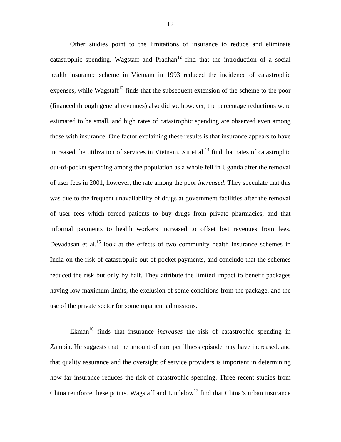Other studies point to the limitations of insurance to reduce and eliminate catastrophic spending. Wagstaff and Pradhan<sup>12</sup> find that the introduction of a social health insurance scheme in Vietnam in 1993 reduced the incidence of catastrophic expenses, while Wagstaff<sup>13</sup> finds that the subsequent extension of the scheme to the poor (financed through general revenues) also did so; however, the percentage reductions were estimated to be small, and high rates of catastrophic spending are observed even among those with insurance. One factor explaining these results is that insurance appears to have increased the utilization of services in Vietnam. Xu et al.<sup>14</sup> find that rates of catastrophic out-of-pocket spending among the population as a whole fell in Uganda after the removal of user fees in 2001; however, the rate among the poor *increased*. They speculate that this was due to the frequent unavailability of drugs at government facilities after the removal of user fees which forced patients to buy drugs from private pharmacies, and that informal payments to health workers increased to offset lost revenues from fees. Devadasan et al.<sup>15</sup> look at the effects of two community health insurance schemes in India on the risk of catastrophic out-of-pocket payments, and conclude that the schemes reduced the risk but only by half. They attribute the limited impact to benefit packages having low maximum limits, the exclusion of some conditions from the package, and the use of the private sector for some inpatient admissions.

Ekman<sup>16</sup> finds that insurance *increases* the risk of catastrophic spending in Zambia. He suggests that the amount of care per illness episode may have increased, and that quality assurance and the oversight of service providers is important in determining how far insurance reduces the risk of catastrophic spending. Three recent studies from China reinforce these points. Wagstaff and Lindelow<sup>17</sup> find that China's urban insurance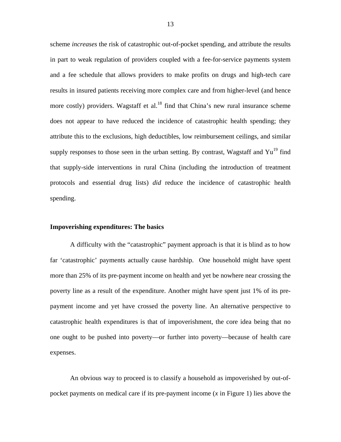scheme *increases* the risk of catastrophic out-of-pocket spending, and attribute the results in part to weak regulation of providers coupled with a fee-for-service payments system and a fee schedule that allows providers to make profits on drugs and high-tech care results in insured patients receiving more complex care and from higher-level (and hence more costly) providers. Wagstaff et al.<sup>18</sup> find that China's new rural insurance scheme does not appear to have reduced the incidence of catastrophic health spending; they attribute this to the exclusions, high deductibles, low reimbursement ceilings, and similar supply responses to those seen in the urban setting. By contrast, Wagstaff and  $Yu^{19}$  find that supply-side interventions in rural China (including the introduction of treatment protocols and essential drug lists) *did* reduce the incidence of catastrophic health spending.

#### **Impoverishing expenditures: The basics**

A difficulty with the "catastrophic" payment approach is that it is blind as to how far 'catastrophic' payments actually cause hardship. One household might have spent more than 25% of its pre-payment income on health and yet be nowhere near crossing the poverty line as a result of the expenditure. Another might have spent just 1% of its prepayment income and yet have crossed the poverty line. An alternative perspective to catastrophic health expenditures is that of impoverishment, the core idea being that no one ought to be pushed into poverty—or further into poverty—because of health care expenses.

An obvious way to proceed is to classify a household as impoverished by out-ofpocket payments on medical care if its pre-payment income (*x* in [Figure 1](#page-8-0)) lies above the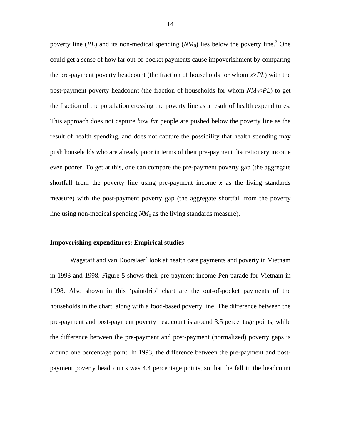poverty line  $(PL)$  and its non-medical spending  $(NM_0)$  lies below the poverty line.<sup>3</sup> One could get a sense of how far out-of-pocket payments cause impoverishment by comparing the pre-payment poverty headcount (the fraction of households for whom *x*>*PL*) with the post-payment poverty headcount (the fraction of households for whom *NM*0<*PL*) to get the fraction of the population crossing the poverty line as a result of health expenditures. This approach does not capture *how far* people are pushed below the poverty line as the result of health spending, and does not capture the possibility that health spending may push households who are already poor in terms of their pre-payment discretionary income even poorer. To get at this, one can compare the pre-payment poverty gap (the aggregate shortfall from the poverty line using pre-payment income *x* as the living standards measure) with the post-payment poverty gap (the aggregate shortfall from the poverty line using non-medical spending *NM*0 as the living standards measure).

#### **Impoverishing expenditures: Empirical studies**

Wagstaff and van Doorslaer<sup>3</sup> look at health care payments and poverty in Vietnam in 1993 and 1998. [Figure 5](#page-17-0) shows their pre-payment income Pen parade for Vietnam in 1998. Also shown in this 'paintdrip' chart are the out-of-pocket payments of the households in the chart, along with a food-based poverty line. The difference between the pre-payment and post-payment poverty headcount is around 3.5 percentage points, while the difference between the pre-payment and post-payment (normalized) poverty gaps is around one percentage point. In 1993, the difference between the pre-payment and postpayment poverty headcounts was 4.4 percentage points, so that the fall in the headcount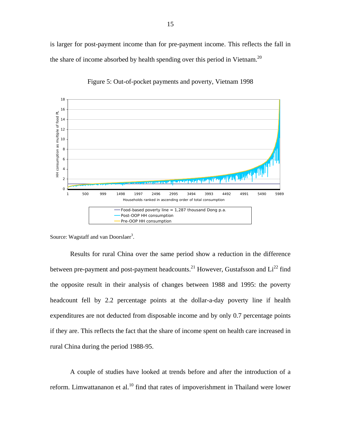is larger for post-payment income than for pre-payment income. This reflects the fall in the share of income absorbed by health spending over this period in Vietnam.<sup>20</sup>

<span id="page-17-0"></span>

Figure 5: Out-of-pocket payments and poverty, Vietnam 1998

Source: Wagstaff and van Doorslaer<sup>3</sup>.

Results for rural China over the same period show a reduction in the difference between pre-payment and post-payment headcounts.<sup>21</sup> However, Gustafsson and  $Li^{22}$  find the opposite result in their analysis of changes between 1988 and 1995: the poverty headcount fell by 2.2 percentage points at the dollar-a-day poverty line if health expenditures are not deducted from disposable income and by only 0.7 percentage points if they are. This reflects the fact that the share of income spent on health care increased in rural China during the period 1988-95.

A couple of studies have looked at trends before and after the introduction of a reform. Limwattananon et al.<sup>10</sup> find that rates of impoverishment in Thailand were lower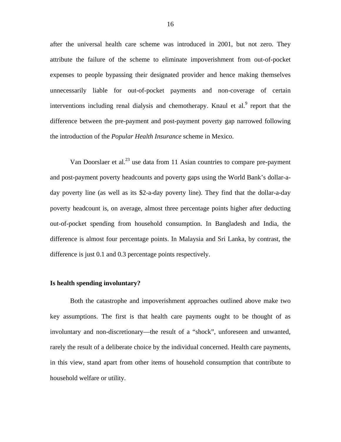after the universal health care scheme was introduced in 2001, but not zero. They attribute the failure of the scheme to eliminate impoverishment from out-of-pocket expenses to people bypassing their designated provider and hence making themselves unnecessarily liable for out-of-pocket payments and non-coverage of certain interventions including renal dialysis and chemotherapy. Knaul et al. $9$  report that the difference between the pre-payment and post-payment poverty gap narrowed following the introduction of the *Popular Health Insurance* scheme in Mexico.

Van Doorslaer et al.<sup>23</sup> use data from 11 Asian countries to compare pre-payment and post-payment poverty headcounts and poverty gaps using the World Bank's dollar-aday poverty line (as well as its \$2-a-day poverty line). They find that the dollar-a-day poverty headcount is, on average, almost three percentage points higher after deducting out-of-pocket spending from household consumption. In Bangladesh and India, the difference is almost four percentage points. In Malaysia and Sri Lanka, by contrast, the difference is just 0.1 and 0.3 percentage points respectively.

#### **Is health spending involuntary?**

Both the catastrophe and impoverishment approaches outlined above make two key assumptions. The first is that health care payments ought to be thought of as involuntary and non-discretionary—the result of a "shock", unforeseen and unwanted, rarely the result of a deliberate choice by the individual concerned. Health care payments, in this view, stand apart from other items of household consumption that contribute to household welfare or utility.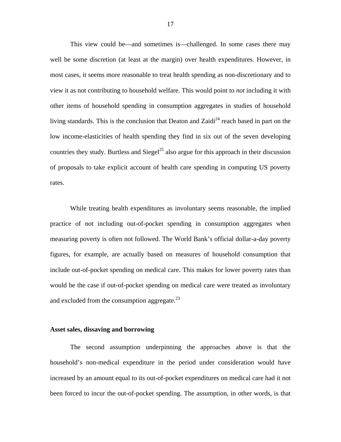This view could be—and sometimes is—challenged. In some cases there may well be some discretion (at least at the margin) over health expenditures. However, in most cases, it seems more reasonable to treat health spending as non-discretionary and to view it as not contributing to household welfare. This would point to *not* including it with other items of household spending in consumption aggregates in studies of household living standards. This is the conclusion that Deaton and Zaidi<sup>24</sup> reach based in part on the low income-elasticities of health spending they find in six out of the seven developing countries they study. Burtless and Siegel<sup>25</sup> also argue for this approach in their discussion of proposals to take explicit account of health care spending in computing US poverty rates.

While treating health expenditures as involuntary seems reasonable, the implied practice of not including out-of-pocket spending in consumption aggregates when measuring poverty is often not followed. The World Bank's official dollar-a-day poverty figures, for example, are actually based on measures of household consumption that include out-of-pocket spending on medical care. This makes for lower poverty rates than would be the case if out-of-pocket spending on medical care were treated as involuntary and excluded from the consumption aggregate.<sup>23</sup>

#### **Asset sales, dissaving and borrowing**

The second assumption underpinning the approaches above is that the household's non-medical expenditure in the period under consideration would have increased by an amount equal to its out-of-pocket expenditures on medical care had it not been forced to incur the out-of-pocket spending. The assumption, in other words, is that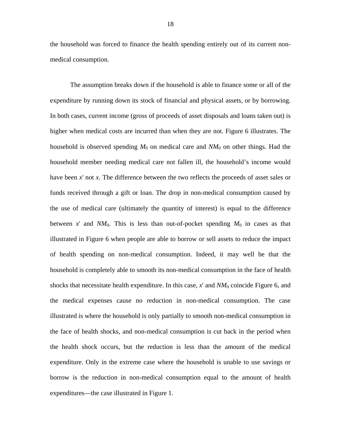the household was forced to finance the health spending entirely out of its current nonmedical consumption.

The assumption breaks down if the household is able to finance some or all of the expenditure by running down its stock of financial and physical assets, or by borrowing. In both cases, current income (gross of proceeds of asset disposals and loans taken out) is higher when medical costs are incurred than when they are not. [Figure 6](#page-21-0) illustrates. The household is observed spending  $M_0$  on medical care and  $NM_0$  on other things. Had the household member needing medical care not fallen ill, the household's income would have been *x*' not *x*. The difference between the two reflects the proceeds of asset sales or funds received through a gift or loan. The drop in non-medical consumption caused by the use of medical care (ultimately the quantity of interest) is equal to the difference between x' and  $NM_0$ . This is less than out-of-pocket spending  $M_0$  in cases as that illustrated in [Figure 6](#page-21-0) when people are able to borrow or sell assets to reduce the impact of health spending on non-medical consumption. Indeed, it may well be that the household is completely able to smooth its non-medical consumption in the face of health shocks that necessitate health expenditure. In this case,  $x'$  and  $NM_0$  coincide [Figure 6,](#page-21-0) and the medical expenses cause no reduction in non-medical consumption. The case illustrated is where the household is only partially to smooth non-medical consumption in the face of health shocks, and non-medical consumption is cut back in the period when the health shock occurs, but the reduction is less than the amount of the medical expenditure. Only in the extreme case where the household is unable to use savings or borrow is the reduction in non-medical consumption equal to the amount of health expenditures—the case illustrated in [Figure 1](#page-8-0).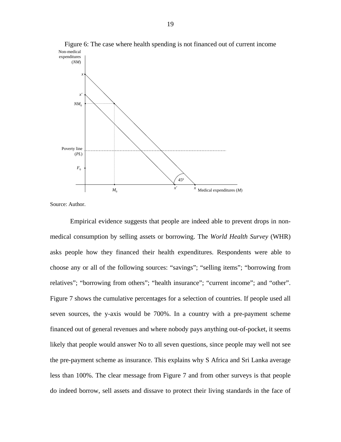

<span id="page-21-0"></span>Figure 6: The case where health spending is not financed out of current income

Source: Author.

Empirical evidence suggests that people are indeed able to prevent drops in nonmedical consumption by selling assets or borrowing. The *World Health Survey* (WHR) asks people how they financed their health expenditures. Respondents were able to choose any or all of the following sources: "savings"; "selling items"; "borrowing from relatives"; "borrowing from others"; "health insurance"; "current income"; and "other". [Figure 7](#page-22-0) shows the cumulative percentages for a selection of countries. If people used all seven sources, the y-axis would be 700%. In a country with a pre-payment scheme financed out of general revenues and where nobody pays anything out-of-pocket, it seems likely that people would answer No to all seven questions, since people may well not see the pre-payment scheme as insurance. This explains why S Africa and Sri Lanka average less than 100%. The clear message from [Figure 7](#page-22-0) and from other surveys is that people do indeed borrow, sell assets and dissave to protect their living standards in the face of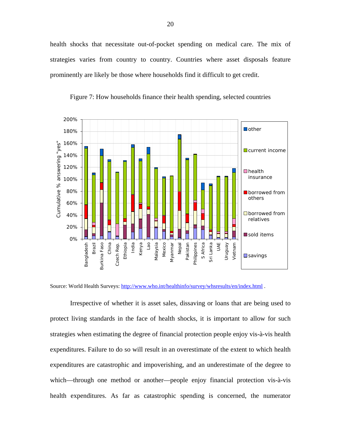health shocks that necessitate out-of-pocket spending on medical care. The mix of strategies varies from country to country. Countries where asset disposals feature prominently are likely be those where households find it difficult to get credit.

<span id="page-22-0"></span>

Figure 7: How households finance their health spending, selected countries

Irrespective of whether it is asset sales, dissaving or loans that are being used to protect living standards in the face of health shocks, it is important to allow for such strategies when estimating the degree of financial protection people enjoy vis-à-vis health expenditures. Failure to do so will result in an overestimate of the extent to which health expenditures are catastrophic and impoverishing, and an underestimate of the degree to which—through one method or another—people enjoy financial protection vis-à-vis health expenditures. As far as catastrophic spending is concerned, the numerator

Source: World Health Surveys: <http://www.who.int/healthinfo/survey/whsresults/en/index.html>.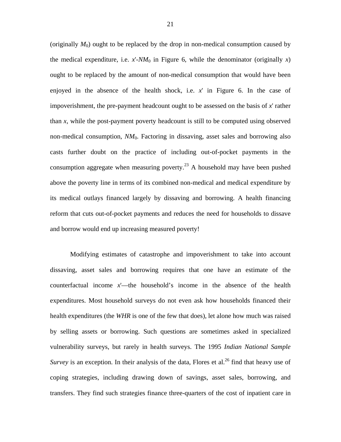(originally  $M_0$ ) ought to be replaced by the drop in non-medical consumption caused by the medical expenditure, i.e.  $x'$ - $NM_0$  in [Figure 6](#page-21-0), while the denominator (originally  $x$ ) ought to be replaced by the amount of non-medical consumption that would have been enjoyed in the absence of the health shock, i.e. *x*' in [Figure 6.](#page-21-0) In the case of impoverishment, the pre-payment headcount ought to be assessed on the basis of *x*' rather than *x*, while the post-payment poverty headcount is still to be computed using observed non-medical consumption, *NM*0. Factoring in dissaving, asset sales and borrowing also casts further doubt on the practice of including out-of-pocket payments in the consumption aggregate when measuring poverty.<sup>23</sup> A household may have been pushed above the poverty line in terms of its combined non-medical and medical expenditure by its medical outlays financed largely by dissaving and borrowing. A health financing reform that cuts out-of-pocket payments and reduces the need for households to dissave and borrow would end up increasing measured poverty!

Modifying estimates of catastrophe and impoverishment to take into account dissaving, asset sales and borrowing requires that one have an estimate of the counterfactual income *x*'—the household's income in the absence of the health expenditures. Most household surveys do not even ask how households financed their health expenditures (the *WHR* is one of the few that does), let alone how much was raised by selling assets or borrowing. Such questions are sometimes asked in specialized vulnerability surveys, but rarely in health surveys. The 1995 *Indian National Sample Survey* is an exception. In their analysis of the data, Flores et al.<sup>26</sup> find that heavy use of coping strategies, including drawing down of savings, asset sales, borrowing, and transfers. They find such strategies finance three-quarters of the cost of inpatient care in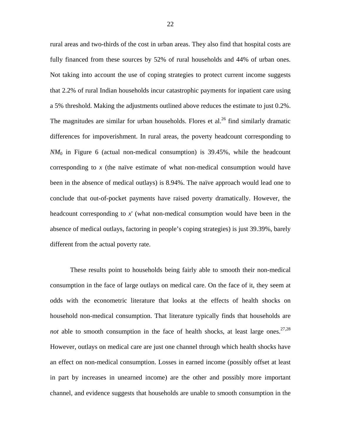rural areas and two-thirds of the cost in urban areas. They also find that hospital costs are fully financed from these sources by 52% of rural households and 44% of urban ones. Not taking into account the use of coping strategies to protect current income suggests that 2.2% of rural Indian households incur catastrophic payments for inpatient care using a 5% threshold. Making the adjustments outlined above reduces the estimate to just 0.2%. The magnitudes are similar for urban households. Flores et al.<sup>26</sup> find similarly dramatic differences for impoverishment. In rural areas, the poverty headcount corresponding to  $NM<sub>0</sub>$  in [Figure 6](#page-21-0) (actual non-medical consumption) is 39.45%, while the headcount corresponding to *x* (the naïve estimate of what non-medical consumption would have been in the absence of medical outlays) is 8.94%. The naïve approach would lead one to conclude that out-of-pocket payments have raised poverty dramatically. However, the headcount corresponding to *x*' (what non-medical consumption would have been in the absence of medical outlays, factoring in people's coping strategies) is just 39.39%, barely different from the actual poverty rate.

These results point to households being fairly able to smooth their non-medical consumption in the face of large outlays on medical care. On the face of it, they seem at odds with the econometric literature that looks at the effects of health shocks on household non-medical consumption. That literature typically finds that households are *not* able to smooth consumption in the face of health shocks, at least large ones.<sup>27,28</sup> However, outlays on medical care are just one channel through which health shocks have an effect on non-medical consumption. Losses in earned income (possibly offset at least in part by increases in unearned income) are the other and possibly more important channel, and evidence suggests that households are unable to smooth consumption in the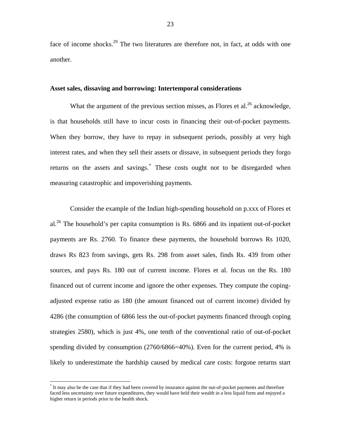face of income shocks.<sup>29</sup> The two literatures are therefore not, in fact, at odds with one another.

#### **Asset sales, dissaving and borrowing: Intertemporal considerations**

What the argument of the previous section misses, as Flores et al. $^{26}$  acknowledge, is that households still have to incur costs in financing their out-of-pocket payments. When they borrow, they have to repay in subsequent periods, possibly at very high interest rates, and when they sell their assets or dissave, in subsequent periods they forgo returns on the assets and savings.<sup>[\\*](#page-25-0)</sup> These costs ought not to be disregarded when measuring catastrophic and impoverishing payments.

Consider the example of the Indian high-spending household on p.xxx of Flores et al.<sup>26</sup> The household's per capita consumption is Rs.  $6866$  and its inpatient out-of-pocket payments are Rs. 2760. To finance these payments, the household borrows Rs 1020, draws Rs 823 from savings, gets Rs. 298 from asset sales, finds Rs. 439 from other sources, and pays Rs. 180 out of current income. Flores et al. focus on the Rs. 180 financed out of current income and ignore the other expenses. They compute the copingadjusted expense ratio as 180 (the amount financed out of current income) divided by 4286 (the consumption of 6866 less the out-of-pocket payments financed through coping strategies 2580), which is just 4%, one tenth of the conventional ratio of out-of-pocket spending divided by consumption (2760/6866=40%). Even for the current period, 4% is likely to underestimate the hardship caused by medical care costs: forgone returns start

 $\overline{a}$ 

<span id="page-25-0"></span><sup>\*</sup> It may also be the case that if they had been covered by insurance against the out-of-pocket payments and therefore faced less uncertainty over future expenditures, they would have held their wealth in a less liquid form and enjoyed a higher return in periods prior to the health shock.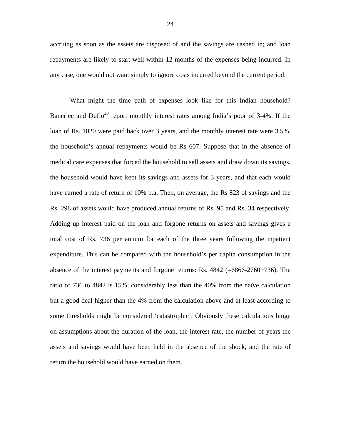accruing as soon as the assets are disposed of and the savings are cashed in; and loan repayments are likely to start well within 12 months of the expenses being incurred. In any case, one would not want simply to ignore costs incurred beyond the current period.

What might the time path of expenses look like for this Indian household? Banerjee and Duflo<sup>30</sup> report monthly interest rates among India's poor of  $3-4\%$ . If the loan of Rs. 1020 were paid back over 3 years, and the monthly interest rate were 3.5%, the household's annual repayments would be Rs 607. Suppose that in the absence of medical care expenses that forced the household to sell assets and draw down its savings, the household would have kept its savings and assets for 3 years, and that each would have earned a rate of return of 10% p.a. Then, on average, the Rs 823 of savings and the Rs. 298 of assets would have produced annual returns of Rs. 95 and Rs. 34 respectively. Adding up interest paid on the loan and forgone returns on assets and savings gives a total cost of Rs. 736 per annum for each of the three years following the inpatient expenditure. This can be compared with the household's per capita consumption in the absence of the interest payments and forgone returns: Rs. 4842 (=6866-2760+736). The ratio of 736 to 4842 is 15%, considerably less than the 40% from the naïve calculation but a good deal higher than the 4% from the calculation above and at least according to some thresholds might be considered 'catastrophic'. Obviously these calculations hinge on assumptions about the duration of the loan, the interest rate, the number of years the assets and savings would have been held in the absence of the shock, and the rate of return the household would have earned on them.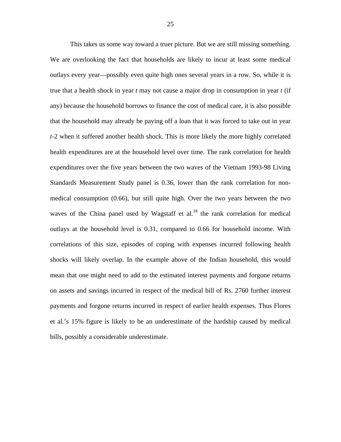This takes us some way toward a truer picture. But we are still missing something. We are overlooking the fact that households are likely to incur at least some medical outlays every year—possibly even quite high ones several years in a row. So, while it is true that a health shock in year *t* may not cause a major drop in consumption in year *t* (if any) because the household borrows to finance the cost of medical care, it is also possible that the household may already be paying off a loan that it was forced to take out in year *t*-2 when it suffered another health shock. This is more likely the more highly correlated health expenditures are at the household level over time. The rank correlation for health expenditures over the five years between the two waves of the Vietnam 1993-98 Living Standards Measurement Study panel is 0.36, lower than the rank correlation for nonmedical consumption (0.66), but still quite high. Over the two years between the two waves of the China panel used by Wagstaff et al. $^{18}$  the rank correlation for medical outlays at the household level is 0.31, compared to 0.66 for household income. With correlations of this size, episodes of coping with expenses incurred following health shocks will likely overlap. In the example above of the Indian household, this would mean that one might need to add to the estimated interest payments and forgone returns on assets and savings incurred in respect of the medical bill of Rs. 2760 further interest payments and forgone returns incurred in respect of earlier health expenses. Thus Flores et al.'s 15% figure is likely to be an underestimate of the hardship caused by medical bills, possibly a considerable underestimate.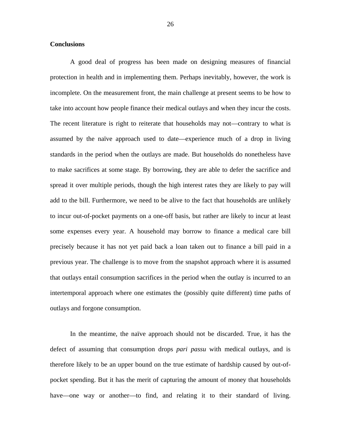#### **Conclusions**

A good deal of progress has been made on designing measures of financial protection in health and in implementing them. Perhaps inevitably, however, the work is incomplete. On the measurement front, the main challenge at present seems to be how to take into account how people finance their medical outlays and when they incur the costs. The recent literature is right to reiterate that households may not—contrary to what is assumed by the naïve approach used to date—experience much of a drop in living standards in the period when the outlays are made. But households do nonetheless have to make sacrifices at some stage. By borrowing, they are able to defer the sacrifice and spread it over multiple periods, though the high interest rates they are likely to pay will add to the bill. Furthermore, we need to be alive to the fact that households are unlikely to incur out-of-pocket payments on a one-off basis, but rather are likely to incur at least some expenses every year. A household may borrow to finance a medical care bill precisely because it has not yet paid back a loan taken out to finance a bill paid in a previous year. The challenge is to move from the snapshot approach where it is assumed that outlays entail consumption sacrifices in the period when the outlay is incurred to an intertemporal approach where one estimates the (possibly quite different) time paths of outlays and forgone consumption.

In the meantime, the naïve approach should not be discarded. True, it has the defect of assuming that consumption drops *pari passu* with medical outlays, and is therefore likely to be an upper bound on the true estimate of hardship caused by out-ofpocket spending. But it has the merit of capturing the amount of money that households have—one way or another—to find, and relating it to their standard of living.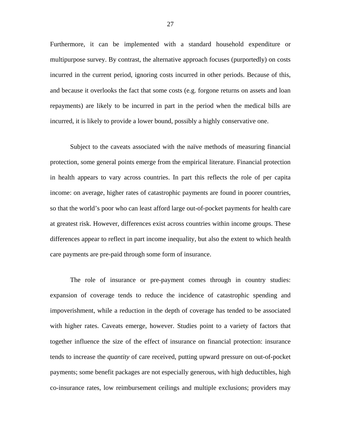Furthermore, it can be implemented with a standard household expenditure or multipurpose survey. By contrast, the alternative approach focuses (purportedly) on costs incurred in the current period, ignoring costs incurred in other periods. Because of this, and because it overlooks the fact that some costs (e.g. forgone returns on assets and loan repayments) are likely to be incurred in part in the period when the medical bills are incurred, it is likely to provide a lower bound, possibly a highly conservative one.

Subject to the caveats associated with the naïve methods of measuring financial protection, some general points emerge from the empirical literature. Financial protection in health appears to vary across countries. In part this reflects the role of per capita income: on average, higher rates of catastrophic payments are found in poorer countries, so that the world's poor who can least afford large out-of-pocket payments for health care at greatest risk. However, differences exist across countries within income groups. These differences appear to reflect in part income inequality, but also the extent to which health care payments are pre-paid through some form of insurance.

The role of insurance or pre-payment comes through in country studies: expansion of coverage tends to reduce the incidence of catastrophic spending and impoverishment, while a reduction in the depth of coverage has tended to be associated with higher rates. Caveats emerge, however. Studies point to a variety of factors that together influence the size of the effect of insurance on financial protection: insurance tends to increase the *quantity* of care received, putting upward pressure on out-of-pocket payments; some benefit packages are not especially generous, with high deductibles, high co-insurance rates, low reimbursement ceilings and multiple exclusions; providers may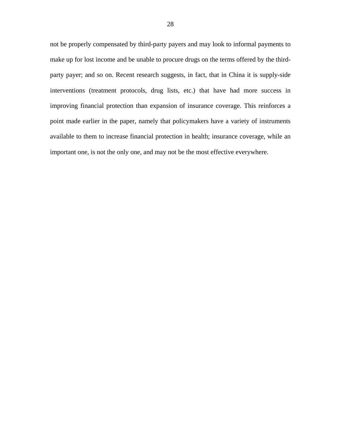not be properly compensated by third-party payers and may look to informal payments to make up for lost income and be unable to procure drugs on the terms offered by the thirdparty payer; and so on. Recent research suggests, in fact, that in China it is supply-side interventions (treatment protocols, drug lists, etc.) that have had more success in improving financial protection than expansion of insurance coverage. This reinforces a point made earlier in the paper, namely that policymakers have a variety of instruments available to them to increase financial protection in health; insurance coverage, while an important one, is not the only one, and may not be the most effective everywhere.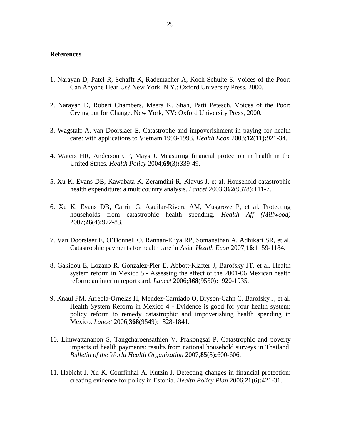#### **References**

- 1. Narayan D, Patel R, Schafft K, Rademacher A, Koch-Schulte S. Voices of the Poor: Can Anyone Hear Us? New York, N.Y.: Oxford University Press, 2000.
- 2. Narayan D, Robert Chambers, Meera K. Shah, Patti Petesch. Voices of the Poor: Crying out for Change. New York, NY: Oxford University Press, 2000.
- 3. Wagstaff A, van Doorslaer E. Catastrophe and impoverishment in paying for health care: with applications to Vietnam 1993-1998. *Health Econ* 2003;**12**(11)**:**921-34.
- 4. Waters HR, Anderson GF, Mays J. Measuring financial protection in health in the United States. *Health Policy* 2004;**69**(3)**:**339-49.
- 5. Xu K, Evans DB, Kawabata K, Zeramdini R, Klavus J, et al. Household catastrophic health expenditure: a multicountry analysis. *Lancet* 2003;**362**(9378)**:**111-7.
- 6. Xu K, Evans DB, Carrin G, Aguilar-Rivera AM, Musgrove P, et al. Protecting households from catastrophic health spending. *Health Aff (Millwood)* 2007;**26**(4)**:**972-83.
- 7. Van Doorslaer E, O'Donnell O, Rannan-Eliya RP, Somanathan A, Adhikari SR, et al. Catastrophic payments for health care in Asia. *Health Econ* 2007;**16:**1159-1184.
- 8. Gakidou E, Lozano R, Gonzalez-Pier E, Abbott-Klafter J, Barofsky JT, et al. Health system reform in Mexico 5 - Assessing the effect of the 2001-06 Mexican health reform: an interim report card. *Lancet* 2006;**368**(9550)**:**1920-1935.
- 9. Knaul FM, Arreola-Ornelas H, Mendez-Carniado O, Bryson-Cahn C, Barofsky J, et al. Health System Reform in Mexico 4 - Evidence is good for your health system: policy reform to remedy catastrophic and impoverishing health spending in Mexico. *Lancet* 2006;**368**(9549)**:**1828-1841.
- 10. Limwattananon S, Tangcharoensathien V, Prakongsai P. Catastrophic and poverty impacts of health payments: results from national household surveys in Thailand. *Bulletin of the World Health Organization* 2007;**85**(8)**:**600-606.
- 11. Habicht J, Xu K, Couffinhal A, Kutzin J. Detecting changes in financial protection: creating evidence for policy in Estonia. *Health Policy Plan* 2006;**21**(6)**:**421-31.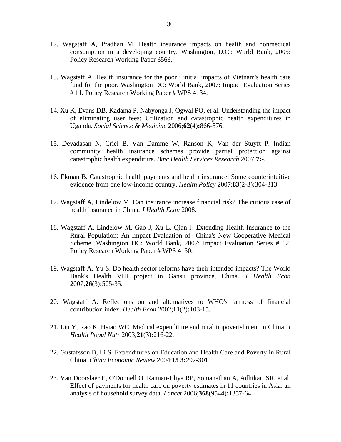- 12. Wagstaff A, Pradhan M. Health insurance impacts on health and nonmedical consumption in a developing country. Washington, D.C.: World Bank, 2005: Policy Research Working Paper 3563.
- 13. Wagstaff A. Health insurance for the poor : initial impacts of Vietnam's health care fund for the poor. Washington DC: World Bank, 2007: Impact Evaluation Series # 11. Policy Research Working Paper # WPS 4134.
- 14. Xu K, Evans DB, Kadama P, Nabyonga J, Ogwal PO, et al. Understanding the impact of eliminating user fees: Utilization and catastrophic health expenditures in Uganda. *Social Science & Medicine* 2006;**62**(4)**:**866-876.
- 15. Devadasan N, Criel B, Van Damme W, Ranson K, Van der Stuyft P. Indian community health insurance schemes provide partial protection against catastrophic health expenditure. *Bmc Health Services Research* 2007;**7:**-.
- 16. Ekman B. Catastrophic health payments and health insurance: Some counterintuitive evidence from one low-income country. *Health Policy* 2007;**83**(2-3)**:**304-313.
- 17. Wagstaff A, Lindelow M. Can insurance increase financial risk? The curious case of health insurance in China. *J Health Econ* 2008.
- 18. Wagstaff A, Lindelow M, Gao J, Xu L, Qian J. Extending Health Insurance to the Rural Population: An Impact Evaluation of China's New Cooperative Medical Scheme. Washington DC: World Bank, 2007: Impact Evaluation Series # 12. Policy Research Working Paper # WPS 4150.
- 19. Wagstaff A, Yu S. Do health sector reforms have their intended impacts? The World Bank's Health VIII project in Gansu province, China. *J Health Econ* 2007;**26**(3)**:**505-35.
- 20. Wagstaff A. Reflections on and alternatives to WHO's fairness of financial contribution index. *Health Econ* 2002;**11**(2)**:**103-15.
- 21. Liu Y, Rao K, Hsiao WC. Medical expenditure and rural impoverishment in China. *J Health Popul Nutr* 2003;**21**(3)**:**216-22.
- 22. Gustafsson B, Li S. Expenditures on Education and Health Care and Poverty in Rural China. *China Economic Review* 2004;**15 3:**292-301.
- 23. Van Doorslaer E, O'Donnell O, Rannan-Eliya RP, Somanathan A, Adhikari SR, et al. Effect of payments for health care on poverty estimates in 11 countries in Asia: an analysis of household survey data. *Lancet* 2006;**368**(9544)**:**1357-64.